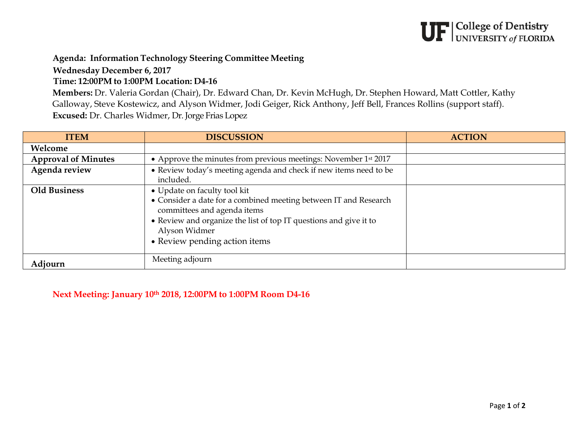## $\mathbf{UF}|_{\text{UNIVERSITY of FLORIDA}}^{\text{College of Dentistry}}$

## **Agenda: Information Technology Steering Committee Meeting**

**Wednesday December 6, 2017**

## **Time: 12:00PM to 1:00PM Location: D4-16**

**Members:** Dr. Valeria Gordan (Chair), Dr. Edward Chan, Dr. Kevin McHugh, Dr. Stephen Howard, Matt Cottler, Kathy Galloway, Steve Kostewicz, and Alyson Widmer, Jodi Geiger, Rick Anthony, Jeff Bell, Frances Rollins (support staff). **Excused:** Dr. Charles Widmer, Dr. Jorge Frias Lopez

| <b>ITEM</b>                | <b>DISCUSSION</b>                                                                                                                                                                                                                                      | <b>ACTION</b> |
|----------------------------|--------------------------------------------------------------------------------------------------------------------------------------------------------------------------------------------------------------------------------------------------------|---------------|
| Welcome                    |                                                                                                                                                                                                                                                        |               |
| <b>Approval of Minutes</b> | • Approve the minutes from previous meetings: November 1st 2017                                                                                                                                                                                        |               |
| Agenda review              | • Review today's meeting agenda and check if new items need to be<br>included.                                                                                                                                                                         |               |
| <b>Old Business</b>        | • Update on faculty tool kit<br>• Consider a date for a combined meeting between IT and Research<br>committees and agenda items<br>• Review and organize the list of top IT questions and give it to<br>Alyson Widmer<br>• Review pending action items |               |
| Adjourn                    | Meeting adjourn                                                                                                                                                                                                                                        |               |

**Next Meeting: January 10th 2018, 12:00PM to 1:00PM Room D4-16**